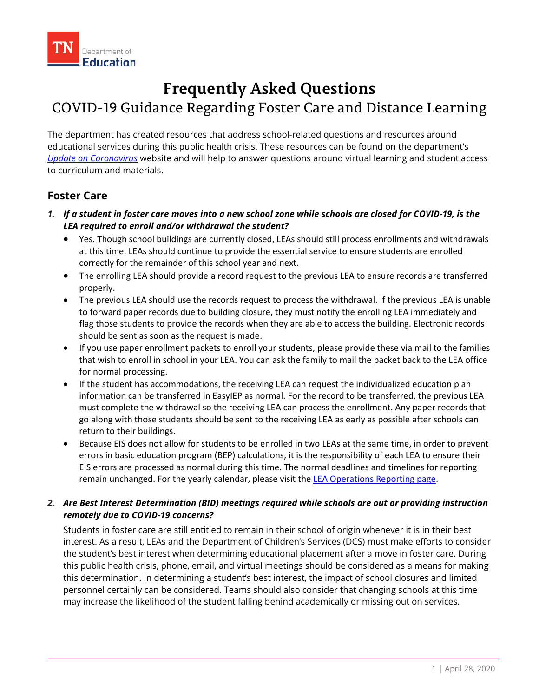# **Frequently Asked Questions**

## COVID-19 Guidance Regarding Foster Care and Distance Learning

The department has created resources that address school-related questions and resources around educational services during this public health crisis. These resources can be found on the department's *[Update on Coronavirus](https://www.tn.gov/education/health-and-safety/update-on-coronavirus.html)* website and will help to answer questions around virtual learning and student access to curriculum and materials.

## **Foster Care**

- *1. If a student in foster care moves into a new school zone while schools are closed for COVID-19, is the LEA required to enroll and/or withdrawal the student?*
	- Yes. Though school buildings are currently closed, LEAs should still process enrollments and withdrawals at this time. LEAs should continue to provide the essential service to ensure students are enrolled correctly for the remainder of this school year and next.
	- The enrolling LEA should provide a record request to the previous LEA to ensure records are transferred properly.
	- The previous LEA should use the records request to process the withdrawal. If the previous LEA is unable to forward paper records due to building closure, they must notify the enrolling LEA immediately and flag those students to provide the records when they are able to access the building. Electronic records should be sent as soon as the request is made.
	- If you use paper enrollment packets to enroll your students, please provide these via mail to the families that wish to enroll in school in your LEA. You can ask the family to mail the packet back to the LEA office for normal processing.
	- If the student has accommodations, the receiving LEA can request the individualized education plan information can be transferred in EasyIEP as normal. For the record to be transferred, the previous LEA must complete the withdrawal so the receiving LEA can process the enrollment. Any paper records that go along with those students should be sent to the receiving LEA as early as possible after schools can return to their buildings.
	- Because EIS does not allow for students to be enrolled in two LEAs at the same time, in order to prevent errors in basic education program (BEP) calculations, it is the responsibility of each LEA to ensure their EIS errors are processed as normal during this time. The normal deadlines and timelines for reporting remain unchanged. For the yearly calendar, please visit the [LEA Operations Reporting page.](https://www.tn.gov/education/lea-operations/reporting-schedule.html)

### *2. Are Best Interest Determination (BID) meetings required while schools are out or providing instruction remotely due to COVID-19 concerns?*

Students in foster care are still entitled to remain in their school of origin whenever it is in their best interest. As a result, LEAs and the Department of Children's Services (DCS) must make efforts to consider the student's best interest when determining educational placement after a move in foster care. During this public health crisis, phone, email, and virtual meetings should be considered as a means for making this determination. In determining a student's best interest, the impact of school closures and limited personnel certainly can be considered. Teams should also consider that changing schools at this time may increase the likelihood of the student falling behind academically or missing out on services.